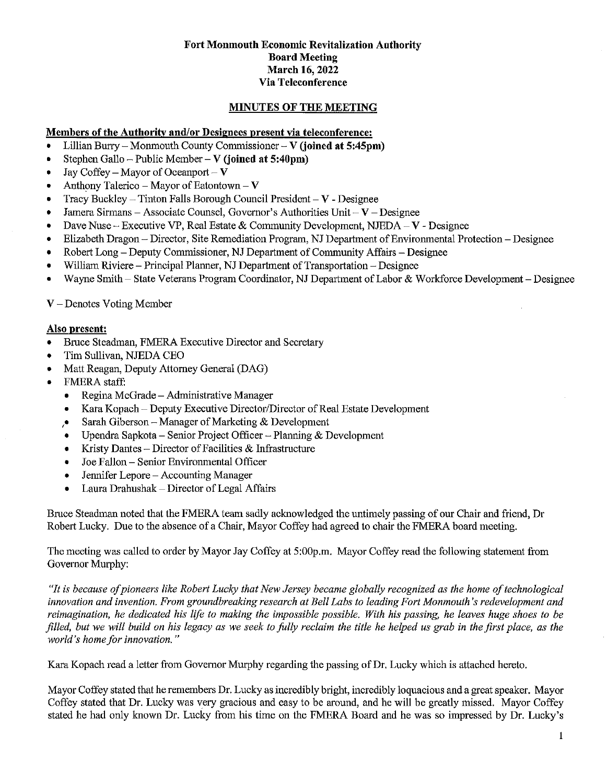### Fort Monmouth Economic Revitalization Authority Board Meeting March 16, 2022 Via Teleconference

## MmUTES OF THE MEETING

### Members of the Authority and/or Designees present via teleconference:

- Lillian Burry Monmouth County Commissioner V (joined at 5:45pm)
- Stephen Gallo Public Member V (joined at 5:40pm)
- Jay Coffey Mayor of Oceanport V
- Anthony Talerico Mayor of Eatontown  $V$
- Tracy Buckley Tinton Falls Borough Council President  $-V$  Designee
- Jamera Sirmans Associate Counsel, Governor's Authorities Unit  $-V$  Designee
- $\bullet$  Dave Nuse Executive VP, Real Estate & Community Development, NJEDA V Designee
- @ Elizabeth Dragon Director, Site Remediation Program, NJ Department of Environmental Protection Designee
- Robert Long Deputy Commissioner, NJ Department of Community Affairs Designee
- \* William Riviere Principal Planner, NJ Department of Transportation Designee
- Wayne Smith State Veterans Program Coordinator, NJ Department of Labor & Workforce Development Designee

### $V$  – Denotes Voting Member

#### Also present:

- \* Bruce Steadman, FMERA Executive Director and Secretary
- \* Tim Sullivan, NJEDA CEO
- Matt Reagan, Deputy Attorney General (DAG)
- FMERA staff:
	- Regina McGrade Administrative Manager
	- \* Kara Kopach Deputy Executive Director/Director of Real Estate Development
	- $\cdot$  Sarah Giberson Manager of Marketing & Development
	- Upendra Sapkota Senior Project Officer Planning  $&$  Development
	- Kristy Dantes Director of Facilities  $\&$  Infrastructure
	- @ Joe Fallon Senior Environmental Officer
	- \* Jennifer Lepore Accounting Manager
	- Laura Drahushak Director of Legal Affairs

Bruce Steadman noted that the FMERA team sadly acknowledged the untimely passing of our Chair and friend, Dr Robert Lucky. Due to the absence of a Chair, Mayor Coffey had agreed to chair the FMERA board meeting.

The meeting was called to order by Mayor Jay Coffey at 5:00p.m. Mayor Coffey read the following statement from Governor Murphy:

"It is because of pioneers like Robert Lucky that New Jersey became globally recognized as the home of technological innovation and invention. From groundbreaking research at Bell Labs to leading Fort Monmouth's redevelopment and reimagination, he dedicated his life to making the impossible possible. With his passing, he leaves huge shoes to be filled, but we will build on his legacy as we seek to fully reclaim the title he helped us grab in the first place, as the world's home for innovation."

Kara Kopach read a letter from Governor Murphy regarding the passing of Dr. Lucky which is attached hereto.

Mayor Coffey stated that he remembers Dr. Lucky as incredibly bright, incredibly loquacious and a great speaker. Mayor Coffey stated that Dr. Lucky was very gracious and easy to be around, and he will be greatly missed. Mayor Coffey stated he had only known Dr. Lucky from his time on the FMERA Board and he was so impressed by Dr. Lucky's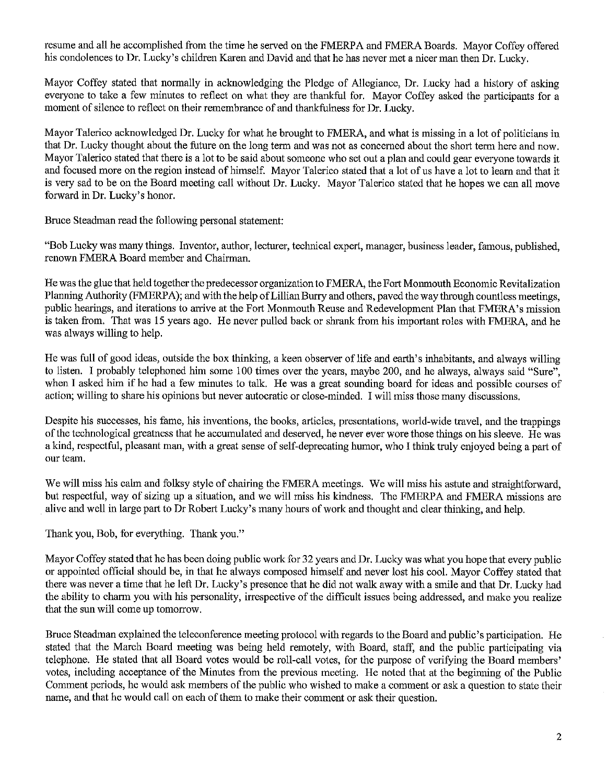resume and all he accomplished from the time he served on the FMERPA and FMERA Boards. Mayor Coffey offered his condolences to Dr. Lucky's children Karen and David and that he has never met a nicer man then Dr. Lucky.

Mayor Coffey stated that normally in acknowledging the Pledge of Allegiance, Dr. Lucky had a history of asking everyone to take a few minutes to reflect on what they are thankful for. Mayor Coffey asked the participants for a moment of silence to reflect on their remembrance of and thankfulness for Dr. Lucky.

Mayor Talerico acknowledged Dr. Lucky for what he brought to FMERA, and what is missing in a lot of politicians in that Dr. Lucky thought about the future on the long temi and was not as concerned about the short term here and now. Mayor Talerico stated that there is a lot to be said about someone who set out a plan and could gear everyone towards it and focused more on the region instead of himself. Mayor Talerico stated that a lot of us have a lot to learn and that it is very sad to be on the Board meeting call without Dr. Lucky. Mayor Talerico stated that he hopes we can all move forward in Dr. Lucky's honor.

Bruce Steadman read the following personal statement:

"Bob Lucky was many things. Inventor, author, lecturer, technical expert, manager, business leader, famous, published, renown FMERA Board member and Chairman.

He was the glue that held together the predecessor organization to FMERA, the Fort Monmouth Economic Revitalization Planning Authority (FMERPA); and with the help of Lillian Burry and others, paved the way through countless meetings, public hearings, and iterations to arrive at the Fort Monmouth Reuse and Redevelopment Plan that FMERA's mission is taken from. That was 15 years ago. He never pulled back or shrank from his important roles with FMERA, and he was always willing to help.

He was full of good ideas, outside the box thinking, a keen observer of life and earth's inhabitants, and always willing to listen. I probably telephoned him some 100 times over the years, maybe 200, and he always, always said "Sure", when I asked him if he had a few minutes to talk. He was a great sounding board for ideas and possible courses of action; willing to share his opinions but never autocratic or close-minded. I will miss those many discussions.

Despite bis successes, his fame, his inventions, the books, articles, presentations, world-wide travel, and the trappings of the technological greatness that he accumulated and deserved, he never ever wore those things on his sleeve. He was a kind, respectful, pleasant man, with a great sense of self-deprecating hiunor, who I think truly enjoyed being a part of our team.

We will miss his calm and folksy style of chairing the FMERA meetings. We will miss his astute and straightforward, but respectful, way of sizing up a situation, and we will miss his kindness. The FMERPA and FMERA missions are alive and well in large part to Dr Robert Lucky's many hours of work and thought and clear thinking, and help.

Thank you, Bob, for everything. Thank you."

Mayor Coffey stated that he has been doing public work for 32 years and Dr. Lucky was what you hope that every public or appointed official should be, in that he always composed himself and never lost his cool. Mayor Coffey stated that there was never a time that he left Dr. Lucky's presence that he did not walk away with a smile and that Dr. Lucky had the ability to charm you with his personality, irrespective of the difficult issues being addressed, and make you realize that the sun will come up tomorrow.

Bruce Steadman explained the teleconference meeting protocol with regards to the Board and public's participation. He stated that the March Board meeting was being held remotely, with Board, staff, and the public participating via telephone. He stated that all Board votes would be roll-call votes, for the purpose of verifying the Board members' votes, including acceptance of the Minutes from the previous meeting. He noted that at the beginning of the Public Comment periods, he would ask members of the public who wished to make a comment or ask a question to state their name, and that he would call on each of them to make their comment or ask their question.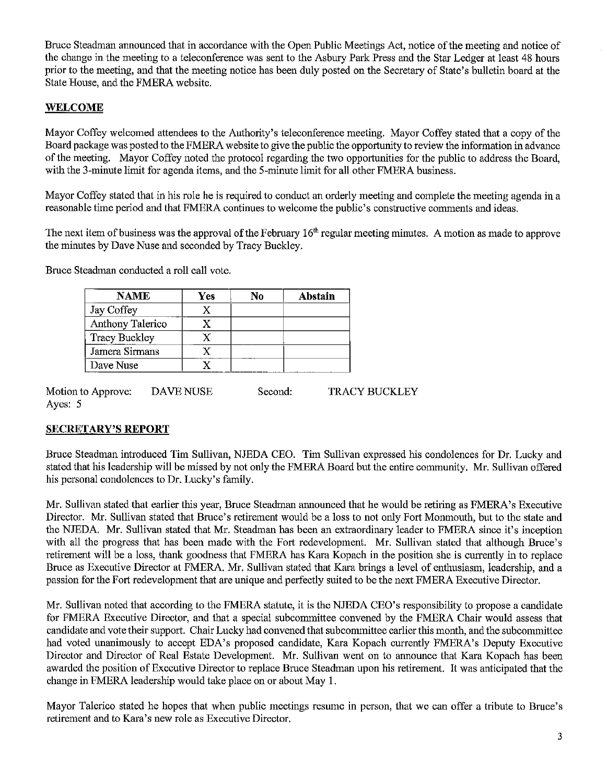Bruce Steadman announced that in accordance with the Open Public Meetings Act, notice of the meeting and notice of the change in the meeting to a teleconference was sent to the Asbury Park Press and the Star Ledger at least 48 hours prior to the meeting, and that the meeting notice has been duly posted on the Secretary of State's bulletin board at the State House, and the FMERA website.

# WELCOME

Mayor Coffey welcomed attendees to the Authority's teleconference meeting. Mayor Coffey stated that a copy of the Board package was posted to the FMERA website to give the public the opportunity to review the information in advance of the meeting. Mayor Coffey noted the protocol regarding the two opportunities for the public to address the Board, with the 3-minute limit for agenda items, and the 5-minute limit for all other FMERA business.

Mayor Coffey stated that in his role he is required to conduct an orderly meeting and complete the meeting agenda in a reasonable time period and that FMERA continues to welcome the public's constructive comments and ideas.

The next item of business was the approval of the February 16<sup>th</sup> regular meeting minutes. A motion as made to approve the minutes by Dave Nuse and seconded by Tracy Buckley.

Bruce Steadman conducted a roll call vote.

| NAME                 | Yes | No | Abstain |
|----------------------|-----|----|---------|
| Jay Coffey           |     |    |         |
| Anthony Talerico     |     |    |         |
| <b>Tracy Buckley</b> |     |    |         |
| Jamera Sirmans       |     |    |         |
| Dave Nuse            |     |    |         |

Motion to Approve: Ayes: 5 DAVE NUSE Second: TRACY BUCKLEY

## SECRETARY'S REPORT

Bruce Steadman introduced Tim Sullivan, NJEDA CEO. Tim Sullivan expressed his condolences for Dr. Lucky and stated that his leadership will be missed by not only the FMERA Board but the entire community. Mr. Sullivan offered his personal condolences to Dr. Lucky's family.

Mr. Sullivan stated that earlier this year, Bruce Steadman announced that he would be retiring as FMERA's Executive Director. Mr. Sullivan stated that Bruce's retirement would be a loss to not only Fort Monmouth, but to the state and the NJEDA. Mr. Sullivan stated that Mr. Steadman has been an extraordinary leader to FMERA since it's inception with all the progress that has been made with the Fort redevelopment. Mr. Sullivan stated that although Bruce's retirement will be a loss, thank goodness that FMERA has Kara Kopach in the position she is currently in to replace Biuce as Executive Director at FMERA. Mr. Sullivan stated that Kara brings a level of enthusiasm, leadership, and a passion for the Fort redevelopment that are unique and perfectly suited to be the next FMERA Executive Director.

Mr. Sullivan noted that according to the FMERA statute, it is the NJEDA CEO's responsibility to propose a candidate for FMERA Executive Director, and that a special subcommittee convened by the FMERA Chair would assess that candidate and vote their support. Chair Lucky had convened that subcornrnittee earlier this month, and the subcommittee had voted unanimously to accept EDA's proposed candidate, Kara Kopach currently FMERA's Deputy Executive Director and Director of Real Estate Development. Mr. Sullivan went on to announce that Kara Kopach has been awarded the position of Executive Director to replace Bruce Steadman upon his retirement. It was anticipated that the change in FMERA leadership would take place on or about May 1.

Mayor Talerico stated he hopes that when public meetings resume in person, that we can offer a tribute to Bruce's retirement and to Kara's new role as Executive Director.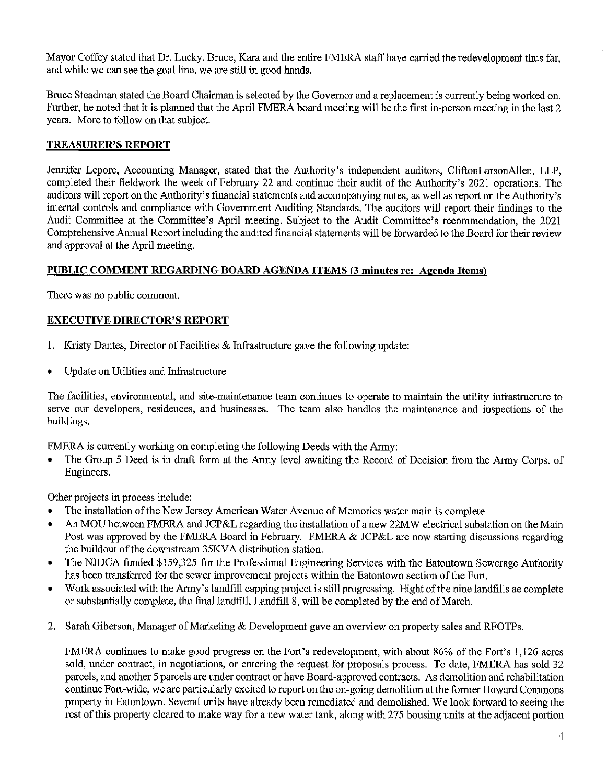Mayor Coffey stated that Dr. Lucky, Bruce, Kara and the entire FMERA staff have carried the redevelopment thus far, and while we can see the goal line, we are still in good hands.

Bruce Steadman stated the Board Chairman is selected by the Governor and a replacement is currently being worked on. Further, he noted that it is planned that the April FMERA board meeting will be the first in-person meeting in the last 2 years. More to follow on that subject.

## TREASURER'S REPORT

Jennifer Lepore, Accounting Manager, stated that the Authority's independent auditors, CliftonLarsonAllen, LLP, completed their fieldwork the week of Febiuary 22 and continue their audit of the Authority's 2021 operations. The auditors will report on the Authority's financial statements and accompanying notes, as well as report on the Authority's internal controls and compliance with Government Auditing Standards. The auditors will report their findings to the Audit Committee at the Committee's April meeting. Subject to the Audit Committee's recommendation, the 2021 Comprehensive Annual Report including the audited financial statements will be forwarded to the Board for their review and approval at the April meeting.

## PUBLIC COMMENT REGARDING BOARD AGENDA ITEMS (3 minutes re: Agenda Items)

There was no public comment.

## EXECUTIVE DIRECTOR'S REPORT

- 1. Kristy Dantes, Director of Facilities & Infrastructure gave the following update:
- Update on Utilities and Infrastructure

The facilities, environmental, and site-maintenance team continues to operate to maintain the utility infrastructure to serve our developers, residences, and businesses. The team also handles the maintenance and inspections of the buildings.

FMERA is currently working on completing the following Deeds with the Army:

The Group 5 Deed is in draft form at the Army level awaiting the Record of Decision from the Army Corps. of Engineers.

Other projects in process include:

- The installation of the New Jersey American Water Avenue of Memories water main is complete.
- An MOU between FMERA and JCP&L regarding the installation of a new 22MW electrical substation on the Main Post was approved by the FMERA Board in February. FMERA & JCP&L are now starting discussions regarding the buildout of the downstream 35KVA distribution station.
- The NJDCA funded \$159,325 for the Professional Engineering Services with the Eatontown Sewerage Authority has been transferred for the sewer improvement projects within the Eatontown section of the Fort.
- \* Work associated with the Army's landfill capping project is still progressing. Eight of the nine landfills ae complete or substantially complete, the final landfill, Landfill 8, will be completed by the end of March.
- 2. Sarah Giberson, Manager of Marketing & Development gave an overview on property sales and RFOTPs.

FMERA continues to make good progress on the Fort's redevelopment, with about 86% of the Fort's 1,126 acres sold, under contract, in negotiations, or entering the request for proposals process. To date, FMERA has sold 32 parcels, and another 5 parcels are under contract or have Board-approved contracts. As demolition and rehabilitation continue Fort-wide, we are particularly excited to report on the on-going demolition at the former Howard Commons property in Eatontown. Several units have already been remediated and demolished. We look forward to seeing the rest of this property cleared to make way for a new water tank, along with 275 housing units at the adjacent portion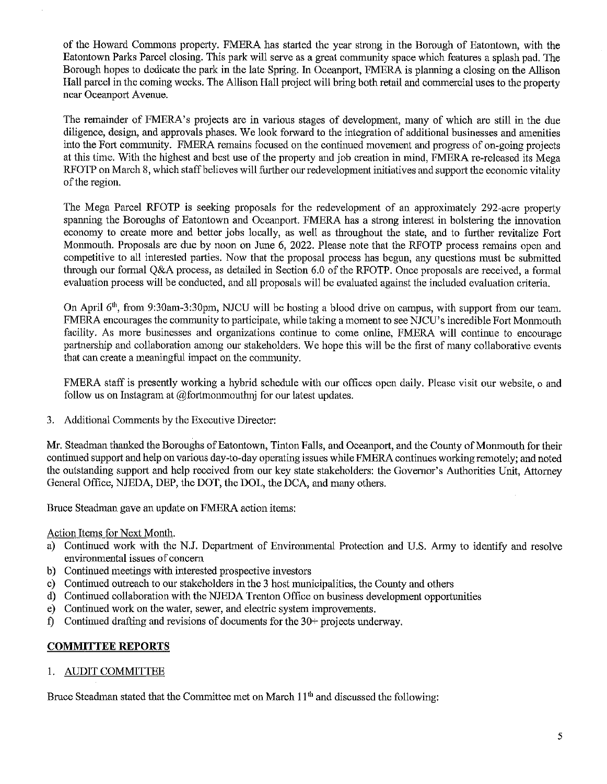of the Howard Commons property. FMERA has started the year strong in the Borough of Eatontown, with the Eatontown Parks Parcel closing. This park will serve as a great community space which features a splash pad. The Borough hopes to dedicate the park in the late Spring. In Oceanport, FMERA is planning a closing on the Allison Hall parcel in the coming weeks. The Allison Hall project will bring both retail and commercial uses to the property near Oceanport Avenue.

The remainder of FMERA's projects are in various stages of development, many of which are still in the due diligence, design, and approvals phases. We look forward to the integration of additional businesses and amenities into the Fort community. FMERA remains focused on the continued movement and progress of on-going projects at this time. With the highest and best use of the property and job creation in mind, FMERA re-released its Mega RFOTP on March 8, which staff believes will further our redevelopment initiatives and support the economic vitality of the region.

The Mega Parcel RFOTP is seeking proposals for the redevelopment of an approximately 292-acre property spanning the Boroughs of Eatontown and Oceanport. FMERA has a strong interest in bolstering the innovation economy to create more and better jobs locally, as well as throughout the state, and to further revitalize Fort Monmouth. Proposals are due by noon on June 6, 2022. Please note that the RFOTP process remains open and competitive to all interested parties. Now that the proposal process has begun, any questions must be submitted through our formal Q&A process, as detailed in Section 6.0 of the RFOTP. Once proposals are received, a formal evaluation process will be conducted, and all proposals will be evaluated against the included evaluation criteria.

On April 6<sup>th</sup>, from 9:30am-3:30pm, NJCU will be hosting a blood drive on campus, with support from our team. FMERA encourages the community to participate, while taking a moment to see NJCU's incredible Fort Monmouth facility. As more businesses and organizations continue to come online, FMERA will continue to encourage partnership and collaboration among our stakeholders. We hope this will be the first of many collaborative events that can create a meaningful impact on the community.

FMERA staff is presently working a hybrid schedule with our offices open daily. Please visit our website, o and follow us on Instagram at  $@$  fortmonmouthnj for our latest updates.

3. Additional Comments by the Executive Director:

Mr. Steadman thanked the Boroughs of Eatontown, Tinton Falls, and Oceanport, and the County of Monmouth for their continued support and help on various day-to-day operating issues while FMERA continues working remotely; and noted the outstanding support and help received from our key state stakeholders: the Governor's Authorities Unit, Attorney General Office, NJEDA, DEP, the DOT, the DOL, the DCA, and many others.

Bruce Steadman gave an update on FMERA action items:

Action Items for Next Month.

- a) Continued work with the N.J. Department of Environmental Protection and U.S. Army to identify and resolve environmental issues of concern
- b) Continued meetings with interested prospective investors
- c) Continued outreach to our stakeholders in the 3 host municipalities, the County and others
- d) Continued collaboration with the NJEDA Trenton Office on business development opportunities
- e) Continued work on the water, sewer, and electric system improvements.
- f) Continued drafting and revisions of documents for the 30+ projects underway.

## COMMITTEE REPORTS

### 1. AUDIT COMMITTEE

Bruce Steadman stated that the Committee met on March  $11<sup>th</sup>$  and discussed the following: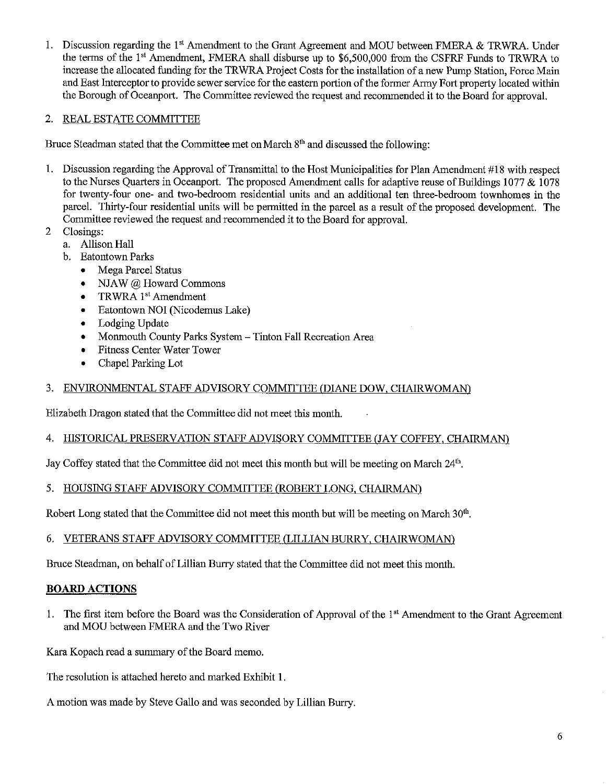1. Discussion regarding the 1<sup>st</sup> Amendment to the Grant Agreement and MOU between FMERA & TRWRA. Under the terms of the 1<sup>st</sup> Amendment, FMERA shall disburse up to \$6,500,000 from the CSFRF Funds to TRWRA to increase the allocated funding for the TRWRA Project Costs for the installation of a new Pump Station, Force Main and East Interceptor to provide sewer service for the eastern portion of the former Army Fort property located within the Borough of Oceanport. The Committee reviewed the request and recommended it to the Board for approval.

# 2. REAL ESTATE COMMITTEE

Bruce Steadman stated that the Committee met on March  $8<sup>th</sup>$  and discussed the following:

- 1. Discussion regarding the Approval of Transmittal to the Host Municipalities for Plan Amendment #18 with respect to the Nurses Quarters in Oceanport. The proposed Amendment calls for adaptive reuse of Buildings 1077 & 1078 for twenty-four one- and two-bedroom residential units and an additional ten three-bedroom townhomes in the parcel. Thirty-four residential units will be permitted in the parcel as a result of the proposed development. The Committee reviewed the request and recommended it to the Board for approval.
- 2 Closings:
	- a. Allison Hall
	- b. Eatontown Parks
		- Mega Parcel Status
		- NJAW @ Howard Commons
		- TRWRA 1<sup>st</sup> Amendment
		- \* Eatontown NOI (Nicodemus Lake)
		- Lodging Update
		- \* Monmouth County Parks System Tinton Fall Recreation Area
		- \* Fitness Center Water Tower
		- \* Chapel Parking Lot

# 3. ENVIRONMENTAL STAFF ADVISORY COMMITTEE (DIANE DOW, CHAIRWOMANi

Elizabeth Dragon stated that the Committee did not meet this month.

## 4. HISTORICAL PRESERVATION STAFF ADVISORY COMMITTEE (JAY COFFEY, CHAIRMAN)

Jay Coffey stated that the Committee did not meet this month but will be meeting on March 24<sup>th</sup>.

## 5. HOUSING STAFF ADVISORY COMMITTEE (ROBERT LONG, CHAIRMAN)

Robert Long stated that the Committee did not meet this month but will be meeting on March 30'h.

## 6. VETERANS STAFF ADVISORY COMMITTEE (LILLIAN BURRY, CHAIRWOMAN)

Bruce Steadman, on behalf of Lillian Burg stated that the Committee did not meet this month.

## BOARD ACTIONS

1. The first item before the Board was the Consideration of Approval of the 1<sup>st</sup> Amendment to the Grant Agreement and MOU between FMERA and the Two River

Kara Kopach read a summary of the Board memo.

The resolution is attached hereto and marked Exhibit 1.

A motion was made by Steve Gallo and was seconded by Lillian Burry.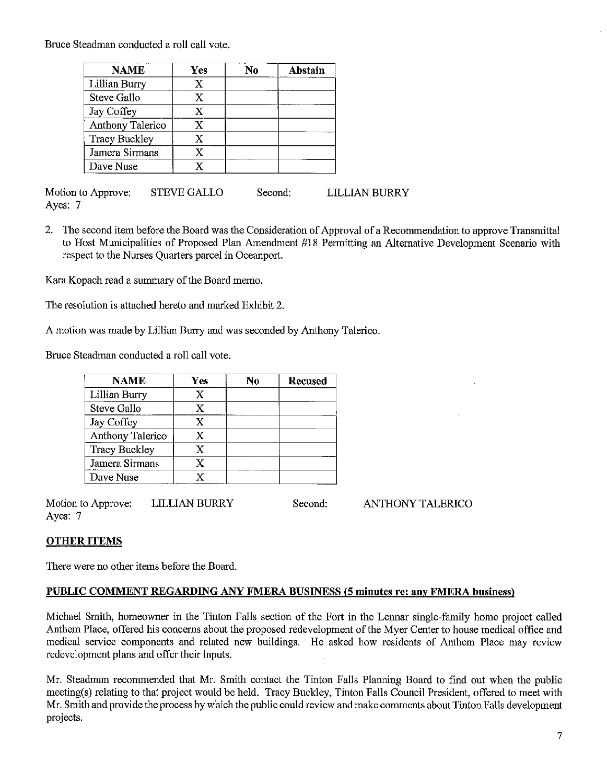Bruce Steadman conducted a roll call vote.

| <b>NAME</b>          | Yes | N0 | Abstain |
|----------------------|-----|----|---------|
| Lillian Burry        | X   |    |         |
| Steve Gallo          | X   |    |         |
| Jay Coffey           | X   |    |         |
| Anthony Talerico     | X   |    |         |
| <b>Tracy Buckley</b> | X   |    |         |
| Jamera Sirmans       | X   |    |         |
| Dave Nuse            | Y   |    |         |

Motion to Approve: STEVE GALLO Ayes: 7 Second: LILLIAN BURRY

2. The second item before the Board was the Consideration of Approval of a Recommendation to approve Transrnittal to Host Municipalities of Proposed Plan Amendment #18 Permitting an Altemative Development Scenario with respect to the Nurses Quarters parcel in Oceanport.

Kara Kopach read a summary of the Board memo.

The resolution is attached hereto and marked Exbibit 2.

A motion was made by Lillian Burry and was seconded by Anthony Talerico.

Bruce Steadman conducted a roll call vote.

| <b>NAME</b>             | Yes | No | <b>Recused</b> |
|-------------------------|-----|----|----------------|
| Lillian Burry           | x   |    |                |
| Steve Gallo             | X   |    |                |
| Jay Coffey              | X   |    |                |
| <b>Anthony Talerico</b> | X   |    |                |
| <b>Tracy Buckley</b>    | X   |    |                |
| Jamera Sirmans          | X   |    |                |
| Dave Nuse               |     |    |                |

Motion to Approve: LILLIAN BURRY Ayes: 7 Second: ANTHONY TALERICO

## OTHER ITEMS

There were no other items before the Board.

### PUBLIC COMMENT REGARDING ANY FMERA BUSINESS (5 minutes re: any FMERA business)

Michael Smith, homeowner in the Tinton Falls section of the Fort in the Lennar single-family home project called Anthem Place, offered his concerns about the proposed redevelopment of the Myer Center to house medical office and medical service components and related new buildings. He asked how residents of Anthem Place may review redevelopment plans and offer their inputs.

Mr. Steadman recommended that Mr. Smith contact the Tinton Falls Planning Board to find out when the public meeting(s) relating to that project would be held. Tracy Buckley, Tinton Falls Council President, offered to meet with Mr. Smith and provide the process by which the public could review and make comments about Tinton Falls development projects.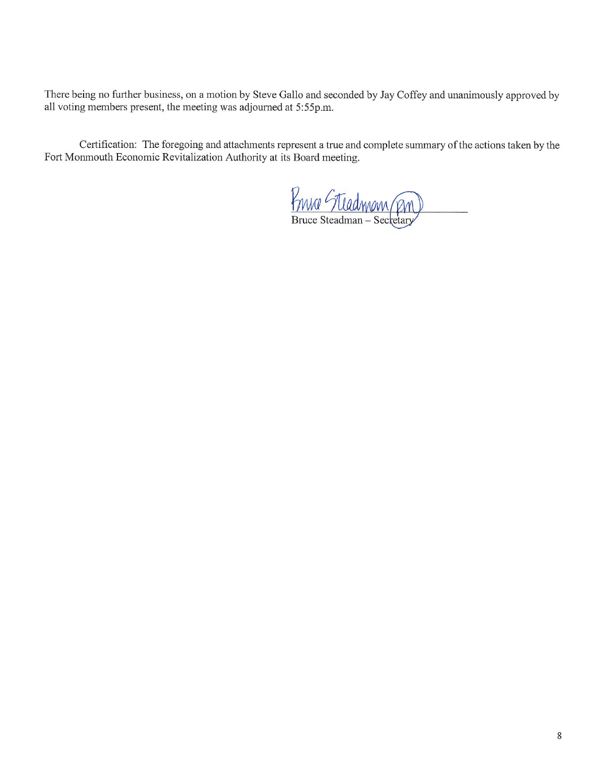There being no further business, on a motion by Steve Gallo and seconded by Jay Coffey and unanimously approved by all voting members present, the meeting was adjourned at 5:55p.m.

Certification: The foregoing and attachments represent a true and complete summary of the actions taken by the Fort Monmouth Economic Revitalization Authority at its Board meeting.

France Steadmom (PM)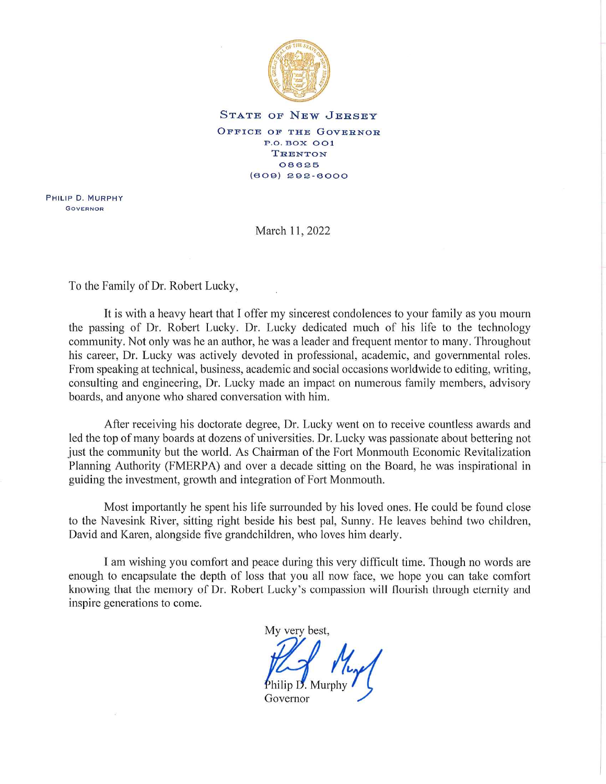

#### STATE OF NEW JERSEY

OFFICE OF THE GOVERNOR **P.O. BOX OO1 TRENTON** 08625  $(809) 292 - 8000$ 

PHILIP D. MURPHY **GOVERNOR** 

March 11, 2022

To the Family of Dr. Robert Lucky,

It is with a heavy heart that I offer my sincerest condolences to your family as you mourn the passing of Dr. Robert Lucky. Dr. Lucky dedicated much of his life to the technology community. Not only was he an author, he was a leader and frequent mentor to many. Throughout his career, Dr. Lucky was actively devoted in professional, academic, and governmental roles. From speaking at technical, business, academic and social occasions worldwide to editing, writing, consulting and engineering, Dr. Lucky made an impact on numerous family members, advisory boards, and anyone who shared conversation with him.

After receiving his doctorate degree, Dr. Lucky went on to receive countless awards and led the top of many boards at dozens of universities. Dr. Lucky was passionate about bettering not just the community but the world. As Chairman of the Fort Monmouth Economic Revitalization Planning Authority (FMERPA) and over a decade sitting on the Board, he was inspirational in guiding the investment, growth and integration of Fort Monmouth.

Most importantly he spent his life surrounded by his loved ones. He could be found close to the Navesink River, sitting right beside his best pal, Sunny. He leaves behind two children, David and Karen, alongside five grandchildren, who loves him dearly.

I am wishing you comfort and peace during this very difficult time. Though no words are enough to encapsulate the depth of loss that you all now face, we hope you can take comfort knowing that the memory of Dr. Robert Lucky's compassion will flourish through eternity and inspire generations to come.

My very best,

Governor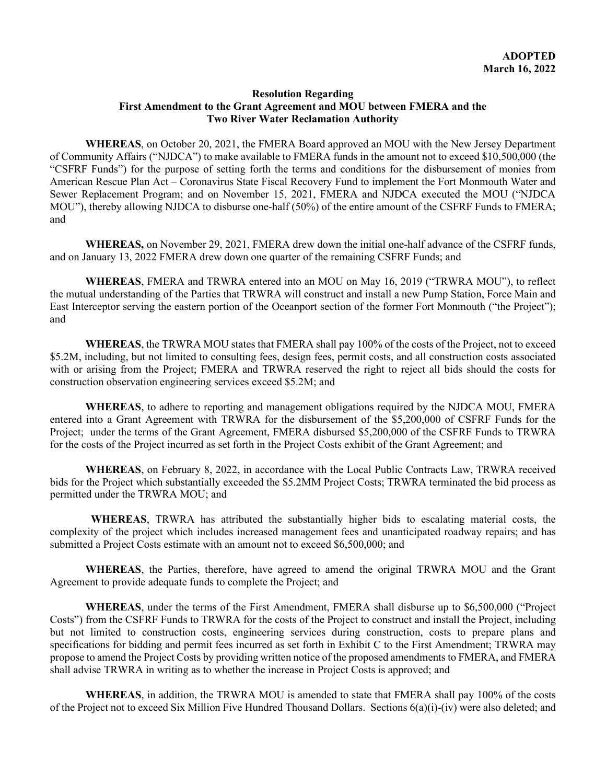### **Resolution Regarding First Amendment to the Grant Agreement and MOU between FMERA and the Two River Water Reclamation Authority**

**WHEREAS**, on October 20, 2021, the FMERA Board approved an MOU with the New Jersey Department of Community Affairs ("NJDCA") to make available to FMERA funds in the amount not to exceed \$10,500,000 (the "CSFRF Funds") for the purpose of setting forth the terms and conditions for the disbursement of monies from American Rescue Plan Act – Coronavirus State Fiscal Recovery Fund to implement the Fort Monmouth Water and Sewer Replacement Program; and on November 15, 2021, FMERA and NJDCA executed the MOU ("NJDCA MOU"), thereby allowing NJDCA to disburse one-half (50%) of the entire amount of the CSFRF Funds to FMERA; and

**WHEREAS,** on November 29, 2021, FMERA drew down the initial one-half advance of the CSFRF funds, and on January 13, 2022 FMERA drew down one quarter of the remaining CSFRF Funds; and

**WHEREAS**, FMERA and TRWRA entered into an MOU on May 16, 2019 ("TRWRA MOU"), to reflect the mutual understanding of the Parties that TRWRA will construct and install a new Pump Station, Force Main and East Interceptor serving the eastern portion of the Oceanport section of the former Fort Monmouth ("the Project"); and

**WHEREAS**, the TRWRA MOU states that FMERA shall pay 100% of the costs of the Project, not to exceed \$5.2M, including, but not limited to consulting fees, design fees, permit costs, and all construction costs associated with or arising from the Project; FMERA and TRWRA reserved the right to reject all bids should the costs for construction observation engineering services exceed \$5.2M; and

**WHEREAS**, to adhere to reporting and management obligations required by the NJDCA MOU, FMERA entered into a Grant Agreement with TRWRA for the disbursement of the \$5,200,000 of CSFRF Funds for the Project; under the terms of the Grant Agreement, FMERA disbursed \$5,200,000 of the CSFRF Funds to TRWRA for the costs of the Project incurred as set forth in the Project Costs exhibit of the Grant Agreement; and

**WHEREAS**, on February 8, 2022, in accordance with the Local Public Contracts Law, TRWRA received bids for the Project which substantially exceeded the \$5.2MM Project Costs; TRWRA terminated the bid process as permitted under the TRWRA MOU; and

 **WHEREAS**, TRWRA has attributed the substantially higher bids to escalating material costs, the complexity of the project which includes increased management fees and unanticipated roadway repairs; and has submitted a Project Costs estimate with an amount not to exceed \$6,500,000; and

**WHEREAS**, the Parties, therefore, have agreed to amend the original TRWRA MOU and the Grant Agreement to provide adequate funds to complete the Project; and

**WHEREAS**, under the terms of the First Amendment, FMERA shall disburse up to \$6,500,000 ("Project Costs") from the CSFRF Funds to TRWRA for the costs of the Project to construct and install the Project, including but not limited to construction costs, engineering services during construction, costs to prepare plans and specifications for bidding and permit fees incurred as set forth in Exhibit C to the First Amendment; TRWRA may propose to amend the Project Costs by providing written notice of the proposed amendments to FMERA, and FMERA shall advise TRWRA in writing as to whether the increase in Project Costs is approved; and

**WHEREAS**, in addition, the TRWRA MOU is amended to state that FMERA shall pay 100% of the costs of the Project not to exceed Six Million Five Hundred Thousand Dollars. Sections 6(a)(i)-(iv) were also deleted; and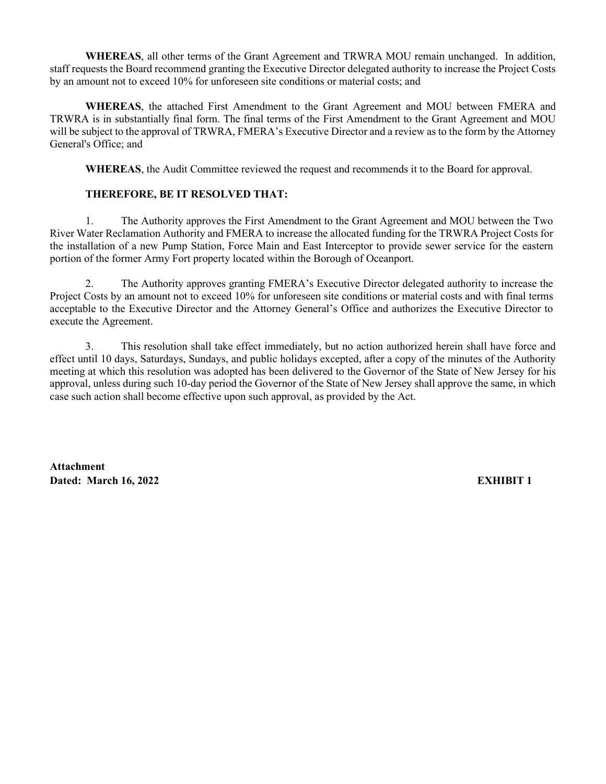**WHEREAS**, all other terms of the Grant Agreement and TRWRA MOU remain unchanged. In addition, staff requests the Board recommend granting the Executive Director delegated authority to increase the Project Costs by an amount not to exceed 10% for unforeseen site conditions or material costs; and

**WHEREAS**, the attached First Amendment to the Grant Agreement and MOU between FMERA and TRWRA is in substantially final form. The final terms of the First Amendment to the Grant Agreement and MOU will be subject to the approval of TRWRA, FMERA's Executive Director and a review as to the form by the Attorney General's Office; and

**WHEREAS**, the Audit Committee reviewed the request and recommends it to the Board for approval.

## **THEREFORE, BE IT RESOLVED THAT:**

1. The Authority approves the First Amendment to the Grant Agreement and MOU between the Two River Water Reclamation Authority and FMERA to increase the allocated funding for the TRWRA Project Costs for the installation of a new Pump Station, Force Main and East Interceptor to provide sewer service for the eastern portion of the former Army Fort property located within the Borough of Oceanport.

2. The Authority approves granting FMERA's Executive Director delegated authority to increase the Project Costs by an amount not to exceed 10% for unforeseen site conditions or material costs and with final terms acceptable to the Executive Director and the Attorney General's Office and authorizes the Executive Director to execute the Agreement.

3. This resolution shall take effect immediately, but no action authorized herein shall have force and effect until 10 days, Saturdays, Sundays, and public holidays excepted, after a copy of the minutes of the Authority meeting at which this resolution was adopted has been delivered to the Governor of the State of New Jersey for his approval, unless during such 10-day period the Governor of the State of New Jersey shall approve the same, in which case such action shall become effective upon such approval, as provided by the Act.

**Attachment Dated: March 16, 2022 EXHIBIT 1**